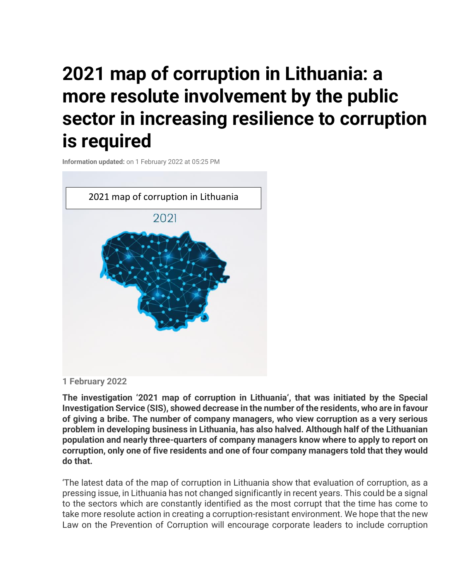# **2021 map of corruption in Lithuania: a more resolute involvement by the public sector in increasing resilience to corruption is required**

**Information updated:** on 1 February 2022 at 05:25 PM



**1 February 2022**

**The investigation '2021 map of corruption in Lithuania', that was initiated by the Special Investigation Service (SIS), showed decrease in the number of the residents, who are in favour of giving a bribe. The number of company managers, who view corruption as a very serious problem in developing business in Lithuania, has also halved. Although half of the Lithuanian population and nearly three-quarters of company managers know where to apply to report on corruption, only one of five residents and one of four company managers told that they would do that.** 

'The latest data of the map of corruption in Lithuania show that evaluation of corruption, as a pressing issue, in Lithuania has not changed significantly in recent years. This could be a signal to the sectors which are constantly identified as the most corrupt that the time has come to take more resolute action in creating a corruption-resistant environment. We hope that the new Law on the Prevention of Corruption will encourage corporate leaders to include corruption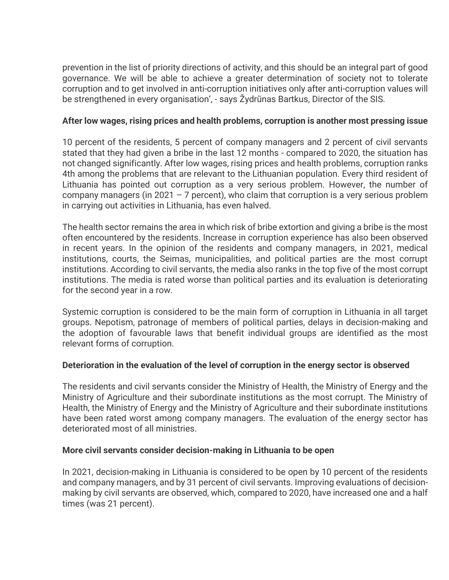prevention in the list of priority directions of activity, and this should be an integral part of good governance. We will be able to achieve a greater determination of society not to tolerate corruption and to get involved in anti-corruption initiatives only after anti-corruption values will be strengthened in every organisation', - says Žydrūnas Bartkus, Director of the SIS.

### **After low wages, rising prices and health problems, corruption is another most pressing issue**

10 percent of the residents, 5 percent of company managers and 2 percent of civil servants stated that they had given a bribe in the last 12 months - compared to 2020, the situation has not changed significantly. After low wages, rising prices and health problems, corruption ranks 4th among the problems that are relevant to the Lithuanian population. Every third resident of Lithuania has pointed out corruption as a very serious problem. However, the number of company managers (in 2021 – 7 percent), who claim that corruption is a very serious problem in carrying out activities in Lithuania, has even halved.

The health sector remains the area in which risk of bribe extortion and giving a bribe is the most often encountered by the residents. Increase in corruption experience has also been observed in recent years. In the opinion of the residents and company managers, in 2021, medical institutions, courts, the Seimas, municipalities, and political parties are the most corrupt institutions. According to civil servants, the media also ranks in the top five of the most corrupt institutions. The media is rated worse than political parties and its evaluation is deteriorating for the second year in a row.

Systemic corruption is considered to be the main form of corruption in Lithuania in all target groups. Nepotism, patronage of members of political parties, delays in decision-making and the adoption of favourable laws that benefit individual groups are identified as the most relevant forms of corruption.

#### **Deterioration in the evaluation of the level of corruption in the energy sector is observed**

The residents and civil servants consider the Ministry of Health, the Ministry of Energy and the Ministry of Agriculture and their subordinate institutions as the most corrupt. The Ministry of Health, the Ministry of Energy and the Ministry of Agriculture and their subordinate institutions have been rated worst among company managers. The evaluation of the energy sector has deteriorated most of all ministries.

#### **More civil servants consider decision-making in Lithuania to be open**

In 2021, decision-making in Lithuania is considered to be open by 10 percent of the residents and company managers, and by 31 percent of civil servants. Improving evaluations of decisionmaking by civil servants are observed, which, compared to 2020, have increased one and a half times (was 21 percent).